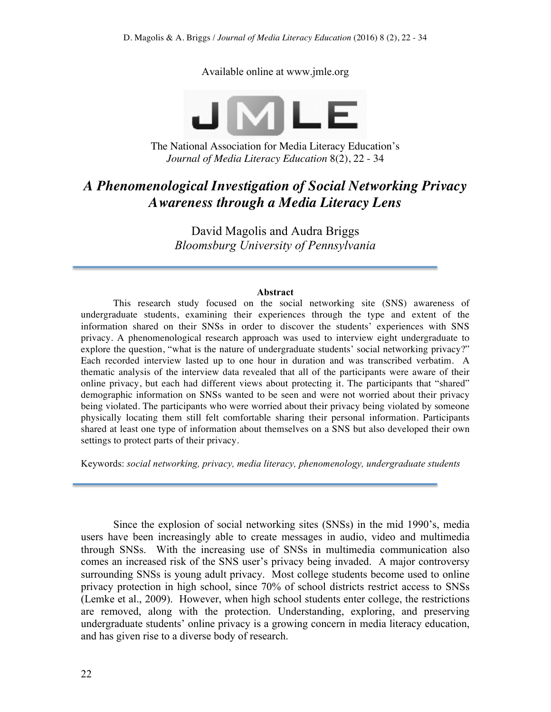Available online at www.jmle.org



The National Association for Media Literacy Education's *Journal of Media Literacy Education* 8(2), 22 - 34

# *A Phenomenological Investigation of Social Networking Privacy Awareness through a Media Literacy Lens*

David Magolis and Audra Briggs *Bloomsburg University of Pennsylvania*

#### **Abstract**

This research study focused on the social networking site (SNS) awareness of undergraduate students, examining their experiences through the type and extent of the information shared on their SNSs in order to discover the students' experiences with SNS privacy. A phenomenological research approach was used to interview eight undergraduate to explore the question, "what is the nature of undergraduate students' social networking privacy?" Each recorded interview lasted up to one hour in duration and was transcribed verbatim. A thematic analysis of the interview data revealed that all of the participants were aware of their online privacy, but each had different views about protecting it. The participants that "shared" demographic information on SNSs wanted to be seen and were not worried about their privacy being violated. The participants who were worried about their privacy being violated by someone physically locating them still felt comfortable sharing their personal information. Participants shared at least one type of information about themselves on a SNS but also developed their own settings to protect parts of their privacy.

Keywords: *social networking, privacy, media literacy, phenomenology, undergraduate students*

Since the explosion of social networking sites (SNSs) in the mid 1990's, media users have been increasingly able to create messages in audio, video and multimedia through SNSs. With the increasing use of SNSs in multimedia communication also comes an increased risk of the SNS user's privacy being invaded. A major controversy surrounding SNSs is young adult privacy. Most college students become used to online privacy protection in high school, since 70% of school districts restrict access to SNSs (Lemke et al., 2009). However, when high school students enter college, the restrictions are removed, along with the protection. Understanding, exploring, and preserving undergraduate students' online privacy is a growing concern in media literacy education, and has given rise to a diverse body of research.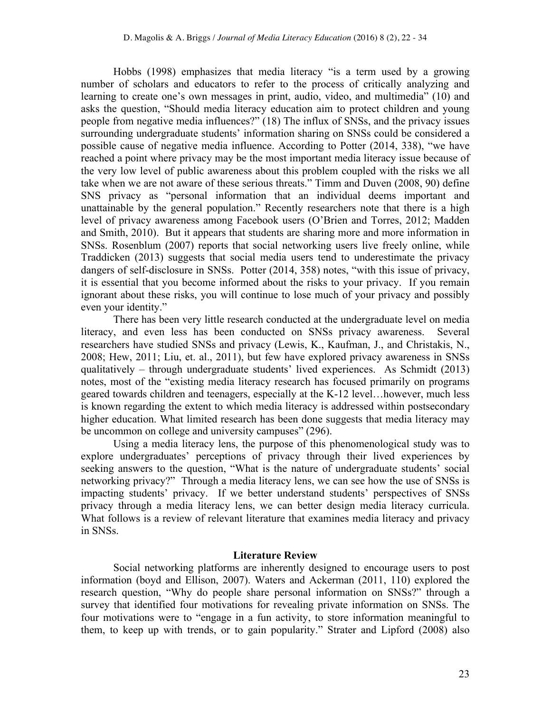Hobbs (1998) emphasizes that media literacy "is a term used by a growing number of scholars and educators to refer to the process of critically analyzing and learning to create one's own messages in print, audio, video, and multimedia" (10) and asks the question, "Should media literacy education aim to protect children and young people from negative media influences?" (18) The influx of SNSs, and the privacy issues surrounding undergraduate students' information sharing on SNSs could be considered a possible cause of negative media influence. According to Potter (2014, 338), "we have reached a point where privacy may be the most important media literacy issue because of the very low level of public awareness about this problem coupled with the risks we all take when we are not aware of these serious threats." Timm and Duven (2008, 90) define SNS privacy as "personal information that an individual deems important and unattainable by the general population." Recently researchers note that there is a high level of privacy awareness among Facebook users (O'Brien and Torres, 2012; Madden and Smith, 2010). But it appears that students are sharing more and more information in SNSs. Rosenblum (2007) reports that social networking users live freely online, while Traddicken (2013) suggests that social media users tend to underestimate the privacy dangers of self-disclosure in SNSs. Potter (2014, 358) notes, "with this issue of privacy, it is essential that you become informed about the risks to your privacy. If you remain ignorant about these risks, you will continue to lose much of your privacy and possibly even your identity."

There has been very little research conducted at the undergraduate level on media literacy, and even less has been conducted on SNSs privacy awareness. Several researchers have studied SNSs and privacy (Lewis, K., Kaufman, J., and Christakis, N., 2008; Hew, 2011; Liu, et. al., 2011), but few have explored privacy awareness in SNSs qualitatively – through undergraduate students' lived experiences. As Schmidt (2013) notes, most of the "existing media literacy research has focused primarily on programs geared towards children and teenagers, especially at the K-12 level…however, much less is known regarding the extent to which media literacy is addressed within postsecondary higher education. What limited research has been done suggests that media literacy may be uncommon on college and university campuses" (296).

Using a media literacy lens, the purpose of this phenomenological study was to explore undergraduates' perceptions of privacy through their lived experiences by seeking answers to the question, "What is the nature of undergraduate students' social networking privacy?" Through a media literacy lens, we can see how the use of SNSs is impacting students' privacy. If we better understand students' perspectives of SNSs privacy through a media literacy lens, we can better design media literacy curricula. What follows is a review of relevant literature that examines media literacy and privacy in SNSs.

### **Literature Review**

Social networking platforms are inherently designed to encourage users to post information (boyd and Ellison, 2007). Waters and Ackerman (2011, 110) explored the research question, "Why do people share personal information on SNSs?" through a survey that identified four motivations for revealing private information on SNSs. The four motivations were to "engage in a fun activity, to store information meaningful to them, to keep up with trends, or to gain popularity." Strater and Lipford (2008) also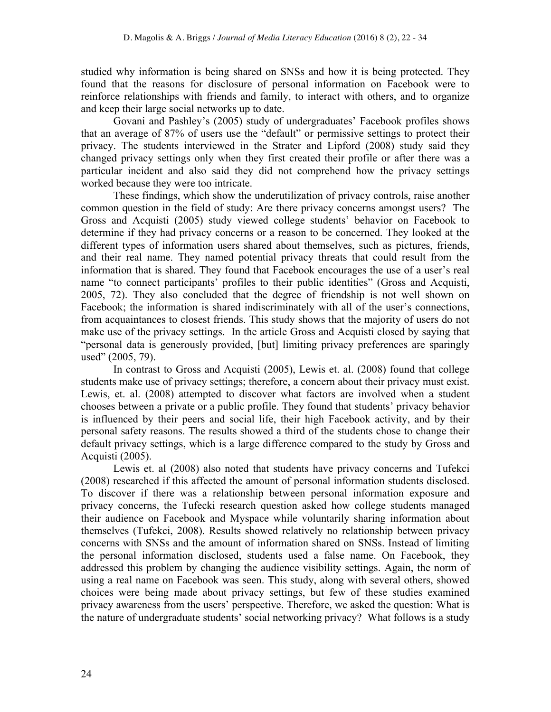studied why information is being shared on SNSs and how it is being protected. They found that the reasons for disclosure of personal information on Facebook were to reinforce relationships with friends and family, to interact with others, and to organize and keep their large social networks up to date.

Govani and Pashley's (2005) study of undergraduates' Facebook profiles shows that an average of 87% of users use the "default" or permissive settings to protect their privacy. The students interviewed in the Strater and Lipford (2008) study said they changed privacy settings only when they first created their profile or after there was a particular incident and also said they did not comprehend how the privacy settings worked because they were too intricate.

These findings, which show the underutilization of privacy controls, raise another common question in the field of study: Are there privacy concerns amongst users? The Gross and Acquisti (2005) study viewed college students' behavior on Facebook to determine if they had privacy concerns or a reason to be concerned. They looked at the different types of information users shared about themselves, such as pictures, friends, and their real name. They named potential privacy threats that could result from the information that is shared. They found that Facebook encourages the use of a user's real name "to connect participants' profiles to their public identities" (Gross and Acquisti, 2005, 72). They also concluded that the degree of friendship is not well shown on Facebook; the information is shared indiscriminately with all of the user's connections, from acquaintances to closest friends. This study shows that the majority of users do not make use of the privacy settings. In the article Gross and Acquisti closed by saying that "personal data is generously provided, [but] limiting privacy preferences are sparingly used" (2005, 79).

In contrast to Gross and Acquisti (2005), Lewis et. al. (2008) found that college students make use of privacy settings; therefore, a concern about their privacy must exist. Lewis, et. al. (2008) attempted to discover what factors are involved when a student chooses between a private or a public profile. They found that students' privacy behavior is influenced by their peers and social life, their high Facebook activity, and by their personal safety reasons. The results showed a third of the students chose to change their default privacy settings, which is a large difference compared to the study by Gross and Acquisti (2005).

Lewis et. al (2008) also noted that students have privacy concerns and Tufekci (2008) researched if this affected the amount of personal information students disclosed. To discover if there was a relationship between personal information exposure and privacy concerns, the Tufecki research question asked how college students managed their audience on Facebook and Myspace while voluntarily sharing information about themselves (Tufekci, 2008). Results showed relatively no relationship between privacy concerns with SNSs and the amount of information shared on SNSs. Instead of limiting the personal information disclosed, students used a false name. On Facebook, they addressed this problem by changing the audience visibility settings. Again, the norm of using a real name on Facebook was seen. This study, along with several others, showed choices were being made about privacy settings, but few of these studies examined privacy awareness from the users' perspective. Therefore, we asked the question: What is the nature of undergraduate students' social networking privacy? What follows is a study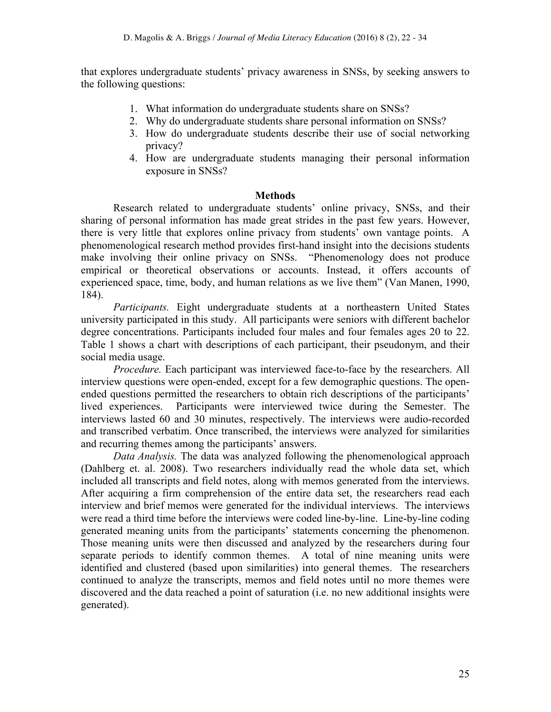that explores undergraduate students' privacy awareness in SNSs, by seeking answers to the following questions:

- 1. What information do undergraduate students share on SNSs?
- 2. Why do undergraduate students share personal information on SNSs?
- 3. How do undergraduate students describe their use of social networking privacy?
- 4. How are undergraduate students managing their personal information exposure in SNSs?

#### **Methods**

Research related to undergraduate students' online privacy, SNSs, and their sharing of personal information has made great strides in the past few years. However, there is very little that explores online privacy from students' own vantage points. A phenomenological research method provides first-hand insight into the decisions students make involving their online privacy on SNSs. "Phenomenology does not produce empirical or theoretical observations or accounts. Instead, it offers accounts of experienced space, time, body, and human relations as we live them" (Van Manen, 1990, 184).

*Participants.* Eight undergraduate students at a northeastern United States university participated in this study. All participants were seniors with different bachelor degree concentrations. Participants included four males and four females ages 20 to 22. Table 1 shows a chart with descriptions of each participant, their pseudonym, and their social media usage.

*Procedure.* Each participant was interviewed face-to-face by the researchers. All interview questions were open-ended, except for a few demographic questions. The openended questions permitted the researchers to obtain rich descriptions of the participants' lived experiences. Participants were interviewed twice during the Semester. The interviews lasted 60 and 30 minutes, respectively. The interviews were audio-recorded and transcribed verbatim. Once transcribed, the interviews were analyzed for similarities and recurring themes among the participants' answers.

*Data Analysis.* The data was analyzed following the phenomenological approach (Dahlberg et. al. 2008). Two researchers individually read the whole data set, which included all transcripts and field notes, along with memos generated from the interviews. After acquiring a firm comprehension of the entire data set, the researchers read each interview and brief memos were generated for the individual interviews. The interviews were read a third time before the interviews were coded line-by-line. Line-by-line coding generated meaning units from the participants' statements concerning the phenomenon. Those meaning units were then discussed and analyzed by the researchers during four separate periods to identify common themes. A total of nine meaning units were identified and clustered (based upon similarities) into general themes. The researchers continued to analyze the transcripts, memos and field notes until no more themes were discovered and the data reached a point of saturation (i.e. no new additional insights were generated).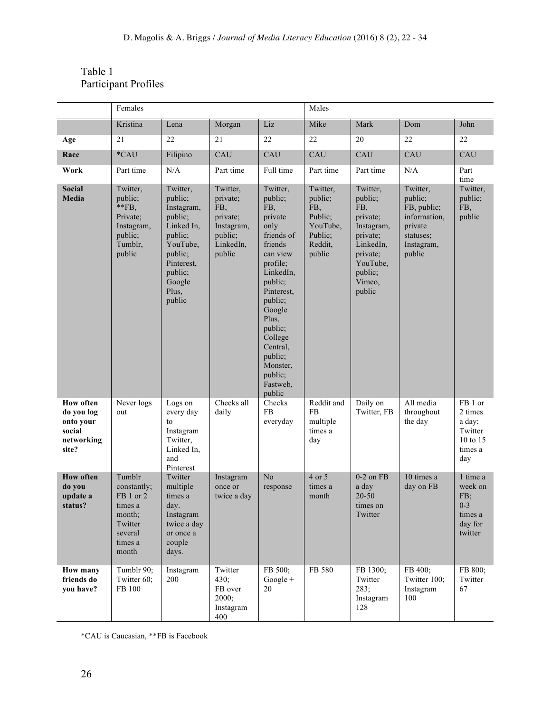## Table 1 Participant Profiles

|                                                                              | Females                                                                                           |                                                                                                                                                    |                                                                                         |                                                                                                                                                                                                                                                              | Males                                                                             |                                                                                                                                      |                                                                                                    |                                                                        |
|------------------------------------------------------------------------------|---------------------------------------------------------------------------------------------------|----------------------------------------------------------------------------------------------------------------------------------------------------|-----------------------------------------------------------------------------------------|--------------------------------------------------------------------------------------------------------------------------------------------------------------------------------------------------------------------------------------------------------------|-----------------------------------------------------------------------------------|--------------------------------------------------------------------------------------------------------------------------------------|----------------------------------------------------------------------------------------------------|------------------------------------------------------------------------|
|                                                                              | Kristina                                                                                          | Lena                                                                                                                                               | Morgan                                                                                  | Liz                                                                                                                                                                                                                                                          | Mike                                                                              | Mark                                                                                                                                 | Dom                                                                                                | John                                                                   |
| Age                                                                          | 21                                                                                                | 22                                                                                                                                                 | 21                                                                                      | 22                                                                                                                                                                                                                                                           | 22                                                                                | 20                                                                                                                                   | 22                                                                                                 | 22                                                                     |
| Race                                                                         | *CAU                                                                                              | Filipino                                                                                                                                           | CAU                                                                                     | CAU                                                                                                                                                                                                                                                          | CAU                                                                               | CAU                                                                                                                                  | CAU                                                                                                | CAU                                                                    |
| Work                                                                         | Part time                                                                                         | N/A                                                                                                                                                | Part time                                                                               | Full time                                                                                                                                                                                                                                                    | Part time                                                                         | Part time                                                                                                                            | N/A                                                                                                | Part<br>time                                                           |
| <b>Social</b><br>Media                                                       | Twitter,<br>public;<br>$*$ $FB$ ,<br>Private;<br>Instagram,<br>public;<br>Tumblr,<br>public       | Twitter,<br>public;<br>Instagram,<br>public;<br>Linked In,<br>public;<br>YouTube,<br>public;<br>Pinterest,<br>public;<br>Google<br>Plus,<br>public | Twitter,<br>private;<br>FB,<br>private;<br>Instagram,<br>public;<br>LinkedIn,<br>public | Twitter,<br>public;<br>FB,<br>private<br>only<br>friends of<br>friends<br>can view<br>profile;<br>LinkedIn,<br>public;<br>Pinterest,<br>public;<br>Google<br>Plus,<br>public;<br>College<br>Central,<br>public;<br>Monster,<br>public;<br>Fastweb,<br>public | Twitter,<br>public;<br>FB,<br>Public;<br>YouTube,<br>Public;<br>Reddit,<br>public | Twitter,<br>public;<br>FB,<br>private;<br>Instagram,<br>private;<br>LinkedIn,<br>private;<br>YouTube,<br>public;<br>Vimeo,<br>public | Twitter,<br>public;<br>FB, public;<br>information,<br>private<br>statuses;<br>Instagram,<br>public | Twitter,<br>public;<br>FB,<br>public                                   |
| <b>How often</b><br>do you log<br>onto your<br>social<br>networking<br>site? | Never logs<br>out                                                                                 | Logs on<br>every day<br>to<br>Instagram<br>Twitter,<br>Linked In,<br>and<br>Pinterest                                                              | Checks all<br>daily                                                                     | Checks<br>FB<br>everyday                                                                                                                                                                                                                                     | Reddit and<br>FB<br>multiple<br>times a<br>day                                    | Daily on<br>Twitter, FB                                                                                                              | All media<br>throughout<br>the day                                                                 | FB 1 or<br>2 times<br>a day;<br>Twitter<br>10 to 15<br>times a<br>day  |
| <b>How often</b><br>do you<br>update a<br>status?                            | Tumblr<br>constantly;<br>FB 1 or 2<br>times a<br>month;<br>Twitter<br>several<br>times a<br>month | Twitter<br>multiple<br>times a<br>day.<br>Instagram<br>twice a day<br>or once a<br>couple<br>days.                                                 | Instagram<br>once or<br>twice a day                                                     | N <sub>0</sub><br>response                                                                                                                                                                                                                                   | 4 or 5<br>times a<br>month                                                        | $0-2$ on $FB$<br>a day<br>$20 - 50$<br>times on<br>Twitter                                                                           | 10 times a<br>day on FB                                                                            | 1 time a<br>week on<br>FB;<br>$0 - 3$<br>times a<br>day for<br>twitter |
| <b>How many</b><br>friends do<br>you have?                                   | Tumblr 90;<br>Twitter 60;<br>FB 100                                                               | Instagram<br>200                                                                                                                                   | Twitter<br>430;<br>FB over<br>2000;<br>Instagram<br>400                                 | FB 500;<br>$Google +$<br>20                                                                                                                                                                                                                                  | FB 580                                                                            | FB 1300;<br>Twitter<br>283;<br>Instagram<br>128                                                                                      | FB 400;<br>Twitter 100;<br>Instagram<br>100                                                        | FB 800;<br>Twitter<br>67                                               |

\*CAU is Caucasian, \*\*FB is Facebook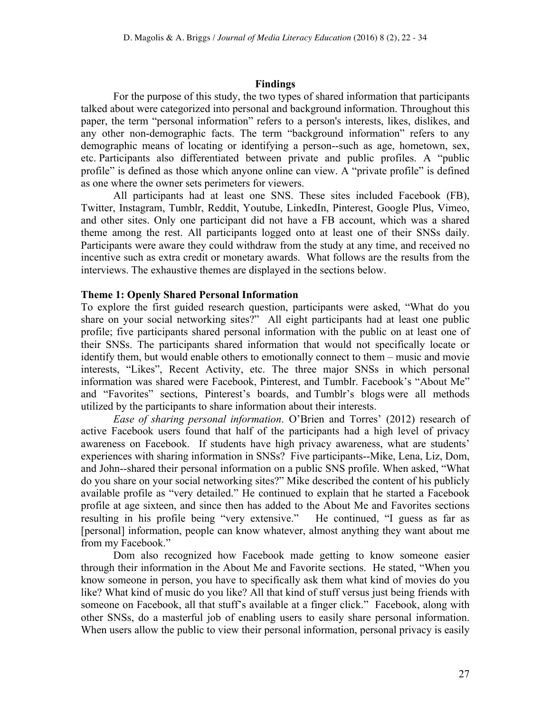#### **Findings**

For the purpose of this study, the two types of shared information that participants talked about were categorized into personal and background information. Throughout this paper, the term "personal information" refers to a person's interests, likes, dislikes, and any other non-demographic facts. The term "background information" refers to any demographic means of locating or identifying a person--such as age, hometown, sex, etc. Participants also differentiated between private and public profiles. A "public profile" is defined as those which anyone online can view. A "private profile" is defined as one where the owner sets perimeters for viewers.

All participants had at least one SNS. These sites included Facebook (FB), Twitter, Instagram, Tumblr, Reddit, Youtube, LinkedIn, Pinterest, Google Plus, Vimeo, and other sites. Only one participant did not have a FB account, which was a shared theme among the rest. All participants logged onto at least one of their SNSs daily. Participants were aware they could withdraw from the study at any time, and received no incentive such as extra credit or monetary awards. What follows are the results from the interviews. The exhaustive themes are displayed in the sections below.

### **Theme 1: Openly Shared Personal Information**

To explore the first guided research question, participants were asked, "What do you share on your social networking sites?" All eight participants had at least one public profile; five participants shared personal information with the public on at least one of their SNSs. The participants shared information that would not specifically locate or identify them, but would enable others to emotionally connect to them – music and movie interests, "Likes", Recent Activity, etc. The three major SNSs in which personal information was shared were Facebook, Pinterest, and Tumblr. Facebook's "About Me" and "Favorites" sections, Pinterest's boards, and Tumblr's blogs were all methods utilized by the participants to share information about their interests.

*Ease of sharing personal information*. O'Brien and Torres' (2012) research of active Facebook users found that half of the participants had a high level of privacy awareness on Facebook. If students have high privacy awareness, what are students' experiences with sharing information in SNSs? Five participants--Mike, Lena, Liz, Dom, and John--shared their personal information on a public SNS profile. When asked, "What do you share on your social networking sites?" Mike described the content of his publicly available profile as "very detailed." He continued to explain that he started a Facebook profile at age sixteen, and since then has added to the About Me and Favorites sections resulting in his profile being "very extensive." He continued, "I guess as far as [personal] information, people can know whatever, almost anything they want about me from my Facebook."

Dom also recognized how Facebook made getting to know someone easier through their information in the About Me and Favorite sections. He stated, "When you know someone in person, you have to specifically ask them what kind of movies do you like? What kind of music do you like? All that kind of stuff versus just being friends with someone on Facebook, all that stuff's available at a finger click." Facebook, along with other SNSs, do a masterful job of enabling users to easily share personal information. When users allow the public to view their personal information, personal privacy is easily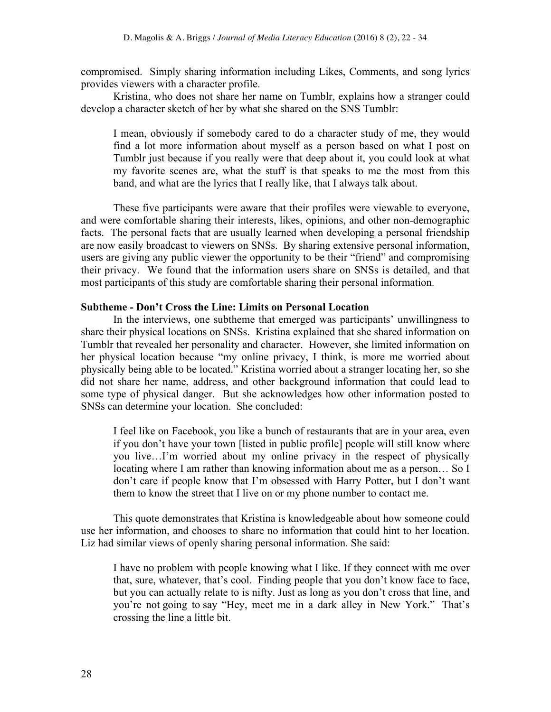compromised. Simply sharing information including Likes, Comments, and song lyrics provides viewers with a character profile.

Kristina, who does not share her name on Tumblr, explains how a stranger could develop a character sketch of her by what she shared on the SNS Tumblr:

I mean, obviously if somebody cared to do a character study of me, they would find a lot more information about myself as a person based on what I post on Tumblr just because if you really were that deep about it, you could look at what my favorite scenes are, what the stuff is that speaks to me the most from this band, and what are the lyrics that I really like, that I always talk about.

These five participants were aware that their profiles were viewable to everyone, and were comfortable sharing their interests, likes, opinions, and other non-demographic facts. The personal facts that are usually learned when developing a personal friendship are now easily broadcast to viewers on SNSs. By sharing extensive personal information, users are giving any public viewer the opportunity to be their "friend" and compromising their privacy. We found that the information users share on SNSs is detailed, and that most participants of this study are comfortable sharing their personal information.

#### **Subtheme - Don't Cross the Line: Limits on Personal Location**

In the interviews, one subtheme that emerged was participants' unwillingness to share their physical locations on SNSs. Kristina explained that she shared information on Tumblr that revealed her personality and character. However, she limited information on her physical location because "my online privacy, I think, is more me worried about physically being able to be located." Kristina worried about a stranger locating her, so she did not share her name, address, and other background information that could lead to some type of physical danger. But she acknowledges how other information posted to SNSs can determine your location. She concluded:

I feel like on Facebook, you like a bunch of restaurants that are in your area, even if you don't have your town [listed in public profile] people will still know where you live…I'm worried about my online privacy in the respect of physically locating where I am rather than knowing information about me as a person… So I don't care if people know that I'm obsessed with Harry Potter, but I don't want them to know the street that I live on or my phone number to contact me.

This quote demonstrates that Kristina is knowledgeable about how someone could use her information, and chooses to share no information that could hint to her location. Liz had similar views of openly sharing personal information. She said:

I have no problem with people knowing what I like. If they connect with me over that, sure, whatever, that's cool. Finding people that you don't know face to face, but you can actually relate to is nifty. Just as long as you don't cross that line, and you're not going to say "Hey, meet me in a dark alley in New York." That's crossing the line a little bit.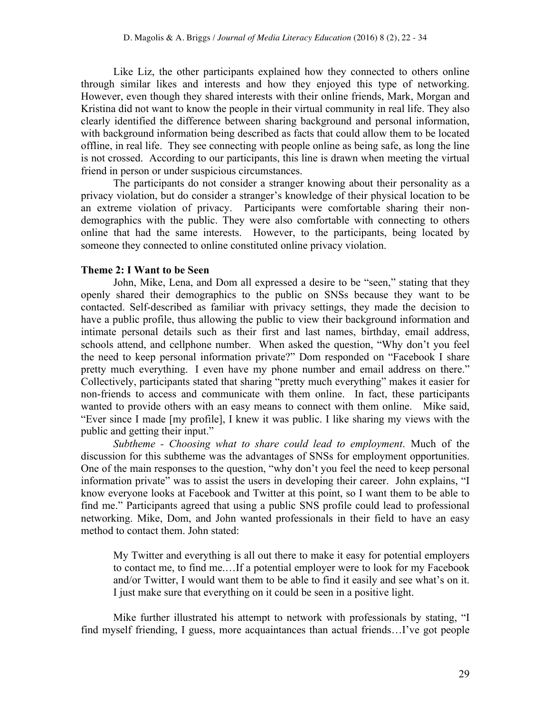Like Liz, the other participants explained how they connected to others online through similar likes and interests and how they enjoyed this type of networking. However, even though they shared interests with their online friends, Mark, Morgan and Kristina did not want to know the people in their virtual community in real life. They also clearly identified the difference between sharing background and personal information, with background information being described as facts that could allow them to be located offline, in real life. They see connecting with people online as being safe, as long the line is not crossed. According to our participants, this line is drawn when meeting the virtual friend in person or under suspicious circumstances.

The participants do not consider a stranger knowing about their personality as a privacy violation, but do consider a stranger's knowledge of their physical location to be an extreme violation of privacy. Participants were comfortable sharing their nondemographics with the public. They were also comfortable with connecting to others online that had the same interests. However, to the participants, being located by someone they connected to online constituted online privacy violation.

#### **Theme 2: I Want to be Seen**

John, Mike, Lena, and Dom all expressed a desire to be "seen," stating that they openly shared their demographics to the public on SNSs because they want to be contacted. Self-described as familiar with privacy settings, they made the decision to have a public profile, thus allowing the public to view their background information and intimate personal details such as their first and last names, birthday, email address, schools attend, and cellphone number. When asked the question, "Why don't you feel the need to keep personal information private?" Dom responded on "Facebook I share pretty much everything. I even have my phone number and email address on there." Collectively, participants stated that sharing "pretty much everything" makes it easier for non-friends to access and communicate with them online. In fact, these participants wanted to provide others with an easy means to connect with them online. Mike said, "Ever since I made [my profile], I knew it was public. I like sharing my views with the public and getting their input."

*Subtheme - Choosing what to share could lead to employment*. Much of the discussion for this subtheme was the advantages of SNSs for employment opportunities. One of the main responses to the question, "why don't you feel the need to keep personal information private" was to assist the users in developing their career. John explains, "I know everyone looks at Facebook and Twitter at this point, so I want them to be able to find me." Participants agreed that using a public SNS profile could lead to professional networking. Mike, Dom, and John wanted professionals in their field to have an easy method to contact them. John stated:

My Twitter and everything is all out there to make it easy for potential employers to contact me, to find me.…If a potential employer were to look for my Facebook and/or Twitter, I would want them to be able to find it easily and see what's on it. I just make sure that everything on it could be seen in a positive light.

Mike further illustrated his attempt to network with professionals by stating, "I find myself friending, I guess, more acquaintances than actual friends…I've got people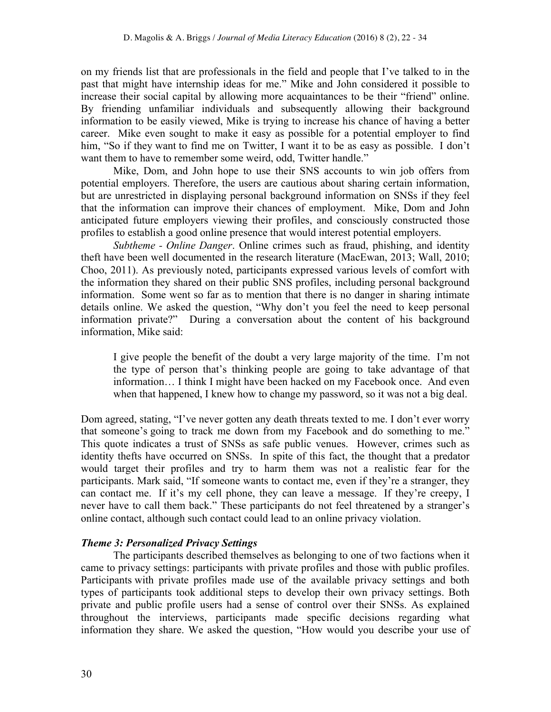on my friends list that are professionals in the field and people that I've talked to in the past that might have internship ideas for me." Mike and John considered it possible to increase their social capital by allowing more acquaintances to be their "friend" online. By friending unfamiliar individuals and subsequently allowing their background information to be easily viewed, Mike is trying to increase his chance of having a better career. Mike even sought to make it easy as possible for a potential employer to find him, "So if they want to find me on Twitter, I want it to be as easy as possible. I don't want them to have to remember some weird, odd, Twitter handle."

Mike, Dom, and John hope to use their SNS accounts to win job offers from potential employers. Therefore, the users are cautious about sharing certain information, but are unrestricted in displaying personal background information on SNSs if they feel that the information can improve their chances of employment. Mike, Dom and John anticipated future employers viewing their profiles, and consciously constructed those profiles to establish a good online presence that would interest potential employers.

*Subtheme - Online Danger*. Online crimes such as fraud, phishing, and identity theft have been well documented in the research literature (MacEwan, 2013; Wall, 2010; Choo, 2011). As previously noted, participants expressed various levels of comfort with the information they shared on their public SNS profiles, including personal background information. Some went so far as to mention that there is no danger in sharing intimate details online. We asked the question, "Why don't you feel the need to keep personal information private?" During a conversation about the content of his background information, Mike said:

I give people the benefit of the doubt a very large majority of the time. I'm not the type of person that's thinking people are going to take advantage of that information… I think I might have been hacked on my Facebook once. And even when that happened, I knew how to change my password, so it was not a big deal.

Dom agreed, stating, "I've never gotten any death threats texted to me. I don't ever worry that someone's going to track me down from my Facebook and do something to me." This quote indicates a trust of SNSs as safe public venues. However, crimes such as identity thefts have occurred on SNSs. In spite of this fact, the thought that a predator would target their profiles and try to harm them was not a realistic fear for the participants. Mark said, "If someone wants to contact me, even if they're a stranger, they can contact me. If it's my cell phone, they can leave a message. If they're creepy, I never have to call them back." These participants do not feel threatened by a stranger's online contact, although such contact could lead to an online privacy violation.

### *Theme 3: Personalized Privacy Settings*

The participants described themselves as belonging to one of two factions when it came to privacy settings: participants with private profiles and those with public profiles. Participants with private profiles made use of the available privacy settings and both types of participants took additional steps to develop their own privacy settings. Both private and public profile users had a sense of control over their SNSs. As explained throughout the interviews, participants made specific decisions regarding what information they share. We asked the question, "How would you describe your use of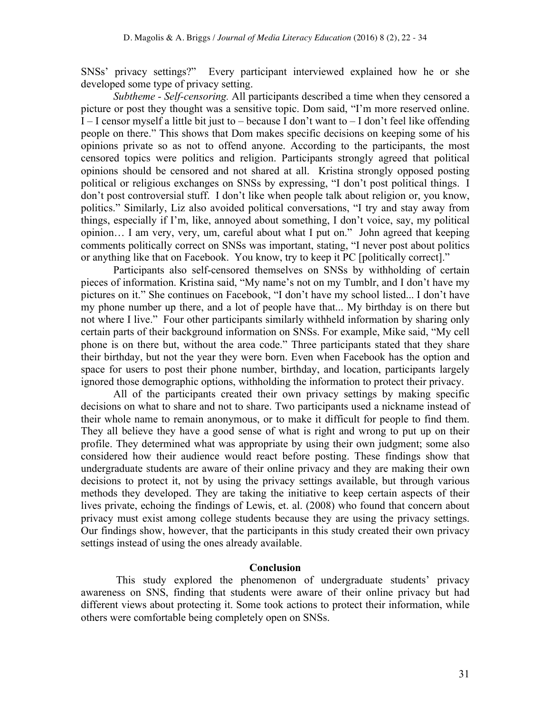SNSs' privacy settings?" Every participant interviewed explained how he or she developed some type of privacy setting.

*Subtheme - Self-censoring.* All participants described a time when they censored a picture or post they thought was a sensitive topic. Dom said, "I'm more reserved online. I – I censor myself a little bit just to – because I don't want to – I don't feel like offending people on there." This shows that Dom makes specific decisions on keeping some of his opinions private so as not to offend anyone. According to the participants, the most censored topics were politics and religion. Participants strongly agreed that political opinions should be censored and not shared at all. Kristina strongly opposed posting political or religious exchanges on SNSs by expressing, "I don't post political things. I don't post controversial stuff. I don't like when people talk about religion or, you know, politics." Similarly, Liz also avoided political conversations, "I try and stay away from things, especially if I'm, like, annoyed about something, I don't voice, say, my political opinion… I am very, very, um, careful about what I put on." John agreed that keeping comments politically correct on SNSs was important, stating, "I never post about politics or anything like that on Facebook. You know, try to keep it PC [politically correct]."

Participants also self-censored themselves on SNSs by withholding of certain pieces of information. Kristina said, "My name's not on my Tumblr, and I don't have my pictures on it." She continues on Facebook, "I don't have my school listed... I don't have my phone number up there, and a lot of people have that... My birthday is on there but not where I live." Four other participants similarly withheld information by sharing only certain parts of their background information on SNSs. For example, Mike said, "My cell phone is on there but, without the area code." Three participants stated that they share their birthday, but not the year they were born. Even when Facebook has the option and space for users to post their phone number, birthday, and location, participants largely ignored those demographic options, withholding the information to protect their privacy.

All of the participants created their own privacy settings by making specific decisions on what to share and not to share. Two participants used a nickname instead of their whole name to remain anonymous, or to make it difficult for people to find them. They all believe they have a good sense of what is right and wrong to put up on their profile. They determined what was appropriate by using their own judgment; some also considered how their audience would react before posting. These findings show that undergraduate students are aware of their online privacy and they are making their own decisions to protect it, not by using the privacy settings available, but through various methods they developed. They are taking the initiative to keep certain aspects of their lives private, echoing the findings of Lewis, et. al. (2008) who found that concern about privacy must exist among college students because they are using the privacy settings. Our findings show, however, that the participants in this study created their own privacy settings instead of using the ones already available.

#### **Conclusion**

This study explored the phenomenon of undergraduate students' privacy awareness on SNS, finding that students were aware of their online privacy but had different views about protecting it. Some took actions to protect their information, while others were comfortable being completely open on SNSs.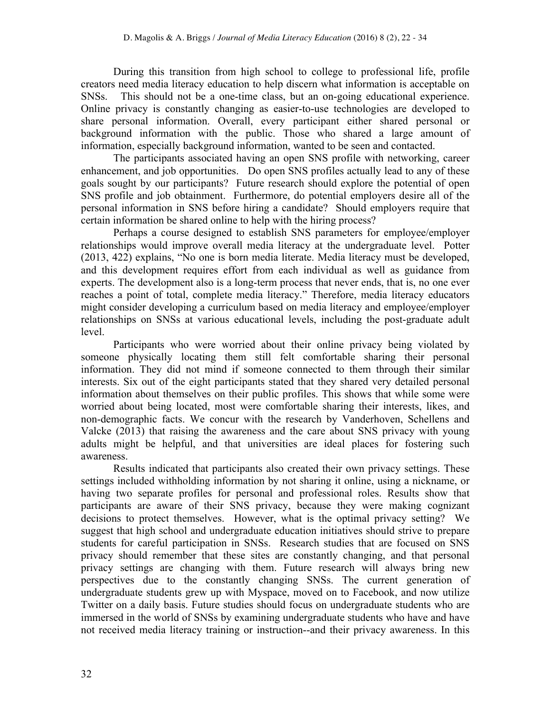During this transition from high school to college to professional life, profile creators need media literacy education to help discern what information is acceptable on SNSs. This should not be a one-time class, but an on-going educational experience. Online privacy is constantly changing as easier-to-use technologies are developed to share personal information. Overall, every participant either shared personal or background information with the public. Those who shared a large amount of information, especially background information, wanted to be seen and contacted.

The participants associated having an open SNS profile with networking, career enhancement, and job opportunities. Do open SNS profiles actually lead to any of these goals sought by our participants? Future research should explore the potential of open SNS profile and job obtainment. Furthermore, do potential employers desire all of the personal information in SNS before hiring a candidate? Should employers require that certain information be shared online to help with the hiring process?

Perhaps a course designed to establish SNS parameters for employee/employer relationships would improve overall media literacy at the undergraduate level. Potter (2013, 422) explains, "No one is born media literate. Media literacy must be developed, and this development requires effort from each individual as well as guidance from experts. The development also is a long-term process that never ends, that is, no one ever reaches a point of total, complete media literacy." Therefore, media literacy educators might consider developing a curriculum based on media literacy and employee/employer relationships on SNSs at various educational levels, including the post-graduate adult level.

Participants who were worried about their online privacy being violated by someone physically locating them still felt comfortable sharing their personal information. They did not mind if someone connected to them through their similar interests. Six out of the eight participants stated that they shared very detailed personal information about themselves on their public profiles. This shows that while some were worried about being located, most were comfortable sharing their interests, likes, and non-demographic facts. We concur with the research by Vanderhoven, Schellens and Valcke (2013) that raising the awareness and the care about SNS privacy with young adults might be helpful, and that universities are ideal places for fostering such awareness.

Results indicated that participants also created their own privacy settings. These settings included withholding information by not sharing it online, using a nickname, or having two separate profiles for personal and professional roles. Results show that participants are aware of their SNS privacy, because they were making cognizant decisions to protect themselves. However, what is the optimal privacy setting? We suggest that high school and undergraduate education initiatives should strive to prepare students for careful participation in SNSs. Research studies that are focused on SNS privacy should remember that these sites are constantly changing, and that personal privacy settings are changing with them. Future research will always bring new perspectives due to the constantly changing SNSs. The current generation of undergraduate students grew up with Myspace, moved on to Facebook, and now utilize Twitter on a daily basis. Future studies should focus on undergraduate students who are immersed in the world of SNSs by examining undergraduate students who have and have not received media literacy training or instruction--and their privacy awareness. In this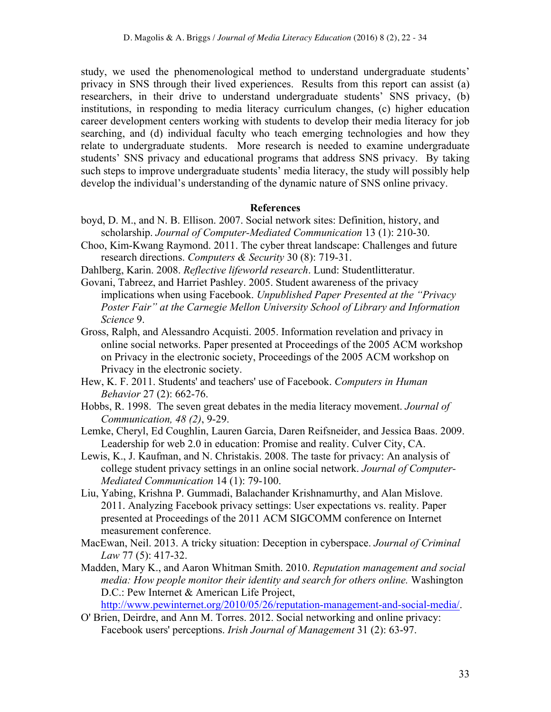study, we used the phenomenological method to understand undergraduate students' privacy in SNS through their lived experiences. Results from this report can assist (a) researchers, in their drive to understand undergraduate students' SNS privacy, (b) institutions, in responding to media literacy curriculum changes, (c) higher education career development centers working with students to develop their media literacy for job searching, and (d) individual faculty who teach emerging technologies and how they relate to undergraduate students. More research is needed to examine undergraduate students' SNS privacy and educational programs that address SNS privacy. By taking such steps to improve undergraduate students' media literacy, the study will possibly help develop the individual's understanding of the dynamic nature of SNS online privacy.

#### **References**

- boyd, D. M., and N. B. Ellison. 2007. Social network sites: Definition, history, and scholarship. *Journal of Computer-Mediated Communication* 13 (1): 210-30.
- Choo, Kim-Kwang Raymond. 2011. The cyber threat landscape: Challenges and future research directions. *Computers & Security* 30 (8): 719-31.
- Dahlberg, Karin. 2008. *Reflective lifeworld research*. Lund: Studentlitteratur.
- Govani, Tabreez, and Harriet Pashley. 2005. Student awareness of the privacy implications when using Facebook. *Unpublished Paper Presented at the "Privacy Poster Fair" at the Carnegie Mellon University School of Library and Information Science* 9.
- Gross, Ralph, and Alessandro Acquisti. 2005. Information revelation and privacy in online social networks. Paper presented at Proceedings of the 2005 ACM workshop on Privacy in the electronic society, Proceedings of the 2005 ACM workshop on Privacy in the electronic society.
- Hew, K. F. 2011. Students' and teachers' use of Facebook. *Computers in Human Behavior* 27 (2): 662-76.
- Hobbs, R. 1998. The seven great debates in the media literacy movement. *Journal of Communication, 48 (2)*, 9-29.
- Lemke, Cheryl, Ed Coughlin, Lauren Garcia, Daren Reifsneider, and Jessica Baas. 2009. Leadership for web 2.0 in education: Promise and reality. Culver City, CA.
- Lewis, K., J. Kaufman, and N. Christakis. 2008. The taste for privacy: An analysis of college student privacy settings in an online social network. *Journal of Computer-Mediated Communication* 14 (1): 79-100.
- Liu, Yabing, Krishna P. Gummadi, Balachander Krishnamurthy, and Alan Mislove. 2011. Analyzing Facebook privacy settings: User expectations vs. reality. Paper presented at Proceedings of the 2011 ACM SIGCOMM conference on Internet measurement conference.
- MacEwan, Neil. 2013. A tricky situation: Deception in cyberspace. *Journal of Criminal Law* 77 (5): 417-32.
- Madden, Mary K., and Aaron Whitman Smith. 2010. *Reputation management and social media: How people monitor their identity and search for others online.* Washington D.C.: Pew Internet & American Life Project, http://www.pewinternet.org/2010/05/26/reputation-management-and-social-media/.
- O' Brien, Deirdre, and Ann M. Torres. 2012. Social networking and online privacy:
	- Facebook users' perceptions. *Irish Journal of Management* 31 (2): 63-97.